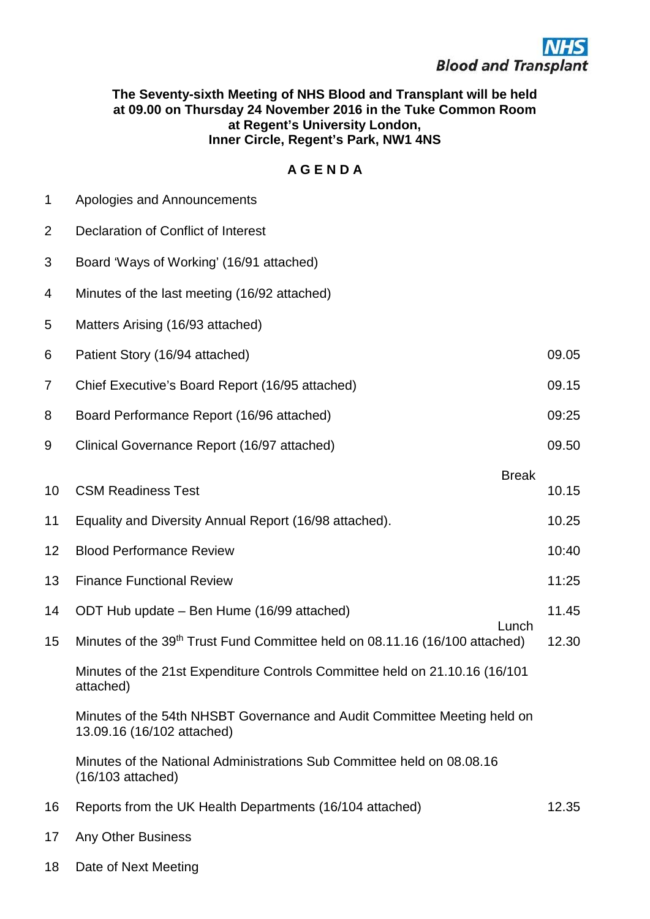## **The Seventy-sixth Meeting of NHS Blood and Transplant will be held at 09.00 on Thursday 24 November 2016 in the Tuke Common Room at Regent's University London, Inner Circle, Regent's Park, NW1 4NS**

## **A G E N D A**

1 Apologies and Announcements

| $\overline{2}$ | Declaration of Conflict of Interest                                                                    |       |
|----------------|--------------------------------------------------------------------------------------------------------|-------|
| 3              | Board 'Ways of Working' (16/91 attached)                                                               |       |
| 4              | Minutes of the last meeting (16/92 attached)                                                           |       |
| 5              | Matters Arising (16/93 attached)                                                                       |       |
| 6              | Patient Story (16/94 attached)                                                                         | 09.05 |
| $\overline{7}$ | Chief Executive's Board Report (16/95 attached)                                                        | 09.15 |
| 8              | Board Performance Report (16/96 attached)                                                              | 09:25 |
| 9              | Clinical Governance Report (16/97 attached)                                                            | 09.50 |
| 10             | <b>Break</b><br><b>CSM Readiness Test</b>                                                              | 10.15 |
| 11             | Equality and Diversity Annual Report (16/98 attached).                                                 | 10.25 |
| 12             | <b>Blood Performance Review</b>                                                                        | 10:40 |
| 13             | <b>Finance Functional Review</b>                                                                       | 11:25 |
| 14             | ODT Hub update – Ben Hume (16/99 attached)<br>Lunch                                                    | 11.45 |
| 15             | Minutes of the 39th Trust Fund Committee held on 08.11.16 (16/100 attached)                            | 12.30 |
|                | Minutes of the 21st Expenditure Controls Committee held on 21.10.16 (16/101<br>attached)               |       |
|                | Minutes of the 54th NHSBT Governance and Audit Committee Meeting held on<br>13.09.16 (16/102 attached) |       |
|                | Minutes of the National Administrations Sub Committee held on 08.08.16<br>$(16/103$ attached)          |       |
| 16             | Reports from the UK Health Departments (16/104 attached)                                               | 12.35 |
| 17             | <b>Any Other Business</b>                                                                              |       |
| 18             | Date of Next Meeting                                                                                   |       |